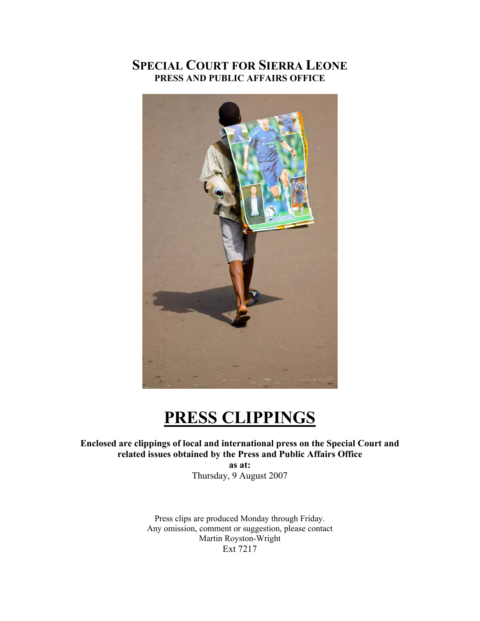# **SPECIAL COURT FOR SIERRA LEONE PRESS AND PUBLIC AFFAIRS OFFICE**



# **PRESS CLIPPINGS**

# **Enclosed are clippings of local and international press on the Special Court and related issues obtained by the Press and Public Affairs Office**

**as at:**  Thursday, 9 August 2007

Press clips are produced Monday through Friday. Any omission, comment or suggestion, please contact Martin Royston-Wright Ext 7217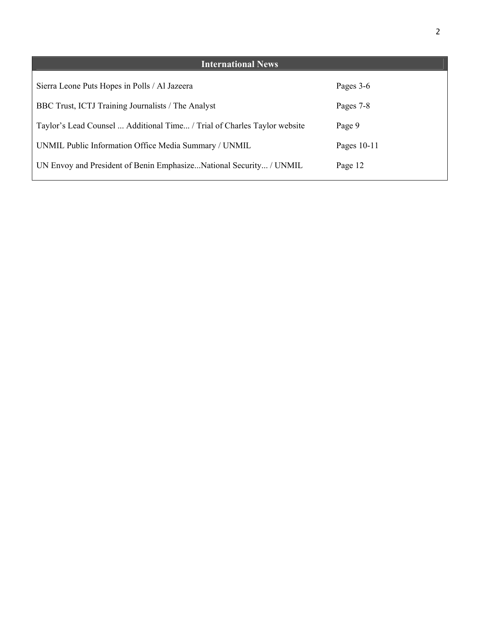| <b>International News</b>                                                |               |
|--------------------------------------------------------------------------|---------------|
| Sierra Leone Puts Hopes in Polls / Al Jazeera                            | Pages 3-6     |
| BBC Trust, ICTJ Training Journalists / The Analyst                       | Pages 7-8     |
| Taylor's Lead Counsel  Additional Time / Trial of Charles Taylor website | Page 9        |
| UNMIL Public Information Office Media Summary / UNMIL                    | Pages $10-11$ |
| UN Envoy and President of Benin EmphasizeNational Security / UNMIL       | Page 12       |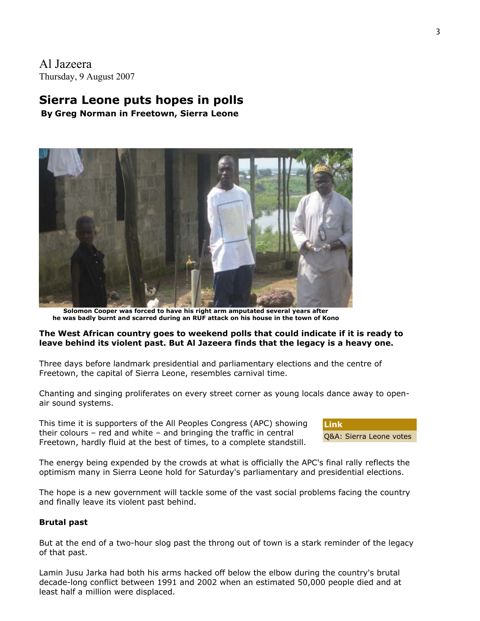Al Jazeera Thursday, 9 August 2007

# **Sierra Leone puts hopes in polls**

**By Greg Norman in Freetown, Sierra Leone**



**Solomon Cooper was forced to have his right arm amputated several years after he was badly burnt and scarred during an RUF attack on his house in the town of Kono**

#### **The West African country goes to weekend polls that could indicate if it is ready to leave behind its violent past. But Al Jazeera finds that the legacy is a heavy one.**

Three days before landmark presidential and parliamentary elections and the centre of Freetown, the capital of Sierra Leone, resembles carnival time.

Chanting and singing proliferates on every street corner as young locals dance away to openair sound systems.

This time it is supporters of the All Peoples Congress (APC) showing their colours – red and white – and bringing the traffic in central Freetown, hardly fluid at the best of times, to a complete standstill.



The energy being expended by the crowds at what is officially the APC's final rally reflects the optimism many in Sierra Leone hold for Saturday's parliamentary and presidential elections.

The hope is a new government will tackle some of the vast social problems facing the country and finally leave its violent past behind.

#### **Brutal past**

But at the end of a two-hour slog past the throng out of town is a stark reminder of the legacy of that past.

Lamin Jusu Jarka had both his arms hacked off below the elbow during the country's brutal decade-long conflict between 1991 and 2002 when an estimated 50,000 people died and at least half a million were displaced.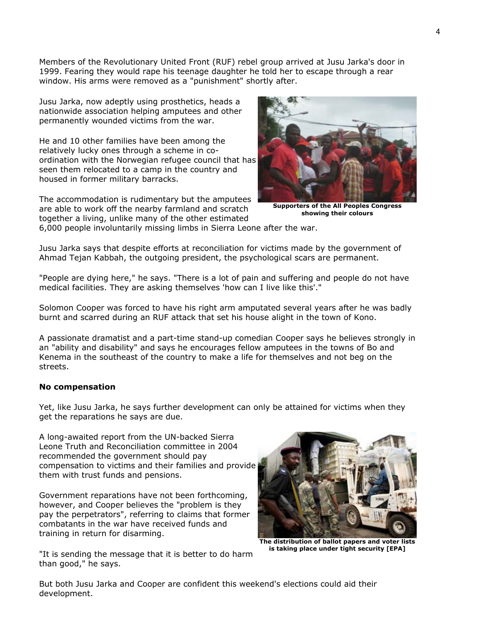Members of the Revolutionary United Front (RUF) rebel group arrived at Jusu Jarka's door in 1999. Fearing they would rape his teenage daughter he told her to escape through a rear window. His arms were removed as a "punishment" shortly after.

Jusu Jarka, now adeptly using prosthetics, heads a nationwide association helping amputees and other permanently wounded victims from the war.

He and 10 other families have been among the relatively lucky ones through a scheme in coordination with the Norwegian refugee council that has seen them relocated to a camp in the country and housed in former military barracks.

The accommodation is rudimentary but the amputees are able to work off the nearby farmland and scratch together a living, unlike many of the other estimated



**Supporters of the All Peoples Congress showing their colours**

6,000 people involuntarily missing limbs in Sierra Leone after the war.

Jusu Jarka says that despite efforts at reconciliation for victims made by the government of Ahmad Tejan Kabbah, the outgoing president, the psychological scars are permanent.

"People are dying here," he says. "There is a lot of pain and suffering and people do not have medical facilities. They are asking themselves 'how can I live like this'."

Solomon Cooper was forced to have his right arm amputated several years after he was badly burnt and scarred during an RUF attack that set his house alight in the town of Kono.

A passionate dramatist and a part-time stand-up comedian Cooper says he believes strongly in an "ability and disability" and says he encourages fellow amputees in the towns of Bo and Kenema in the southeast of the country to make a life for themselves and not beg on the streets.

#### **No compensation**

Yet, like Jusu Jarka, he says further development can only be attained for victims when they get the reparations he says are due.

A long-awaited report from the UN-backed Sierra Leone Truth and Reconciliation committee in 2004 recommended the government should pay compensation to victims and their families and provide them with trust funds and pensions.

Government reparations have not been forthcoming, however, and Cooper believes the "problem is they pay the perpetrators", referring to claims that former combatants in the war have received funds and training in return for disarming.



**The distribution of ballot papers and voter lists is taking place under tight security [EPA]**

"It is sending the message that it is better to do harm than good," he says.

But both Jusu Jarka and Cooper are confident this weekend's elections could aid their development.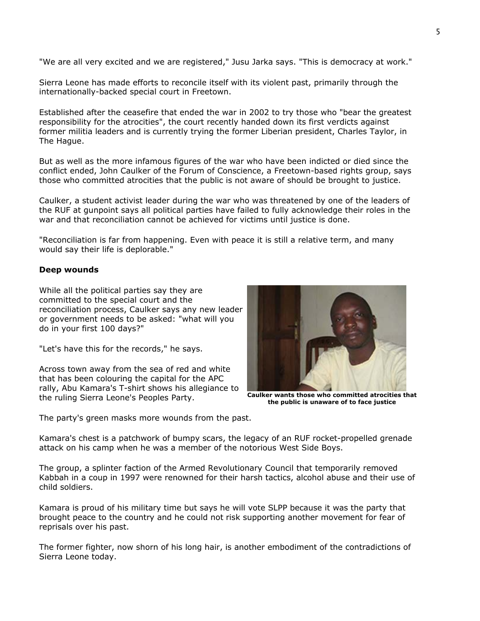"We are all very excited and we are registered," Jusu Jarka says. "This is democracy at work."

Sierra Leone has made efforts to reconcile itself with its violent past, primarily through the internationally-backed special court in Freetown.

Established after the ceasefire that ended the war in 2002 to try those who "bear the greatest responsibility for the atrocities", the court recently handed down its first verdicts against former militia leaders and is currently trying the former Liberian president, Charles Taylor, in The Hague.

But as well as the more infamous figures of the war who have been indicted or died since the conflict ended, John Caulker of the Forum of Conscience, a Freetown-based rights group, says those who committed atrocities that the public is not aware of should be brought to justice.

Caulker, a student activist leader during the war who was threatened by one of the leaders of the RUF at gunpoint says all political parties have failed to fully acknowledge their roles in the war and that reconciliation cannot be achieved for victims until justice is done.

"Reconciliation is far from happening. Even with peace it is still a relative term, and many would say their life is deplorable."

#### **Deep wounds**

While all the political parties say they are committed to the special court and the reconciliation process, Caulker says any new leader or government needs to be asked: "what will you do in your first 100 days?"

"Let's have this for the records," he says.

Across town away from the sea of red and white that has been colouring the capital for the APC rally, Abu Kamara's T-shirt shows his allegiance to the ruling Sierra Leone's Peoples Party.



**Caulker wants those who committed atrocities that the public is unaware of to face justice**

The party's green masks more wounds from the past.

Kamara's chest is a patchwork of bumpy scars, the legacy of an RUF rocket-propelled grenade attack on his camp when he was a member of the notorious West Side Boys.

The group, a splinter faction of the Armed Revolutionary Council that temporarily removed Kabbah in a coup in 1997 were renowned for their harsh tactics, alcohol abuse and their use of child soldiers.

Kamara is proud of his military time but says he will vote SLPP because it was the party that brought peace to the country and he could not risk supporting another movement for fear of reprisals over his past.

The former fighter, now shorn of his long hair, is another embodiment of the contradictions of Sierra Leone today.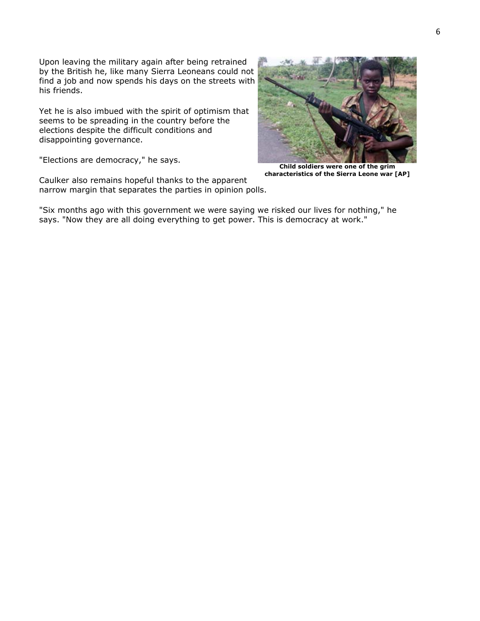Upon leaving the military again after being retrained by the British he, like many Sierra Leoneans could not find a job and now spends his days on the streets with his friends.

Yet he is also imbued with the spirit of optimism that seems to be spreading in the country before the elections despite the difficult conditions and disappointing governance.

"Elections are democracy," he says.

**Child soldiers were one of the grim** 

**characteristics of the Sierra Leone war [AP]**

Caulker also remains hopeful thanks to the apparent narrow margin that separates the parties in opinion polls.

"Six months ago with this government we were saying we risked our lives for nothing," he says. "Now they are all doing everything to get power. This is democracy at work."

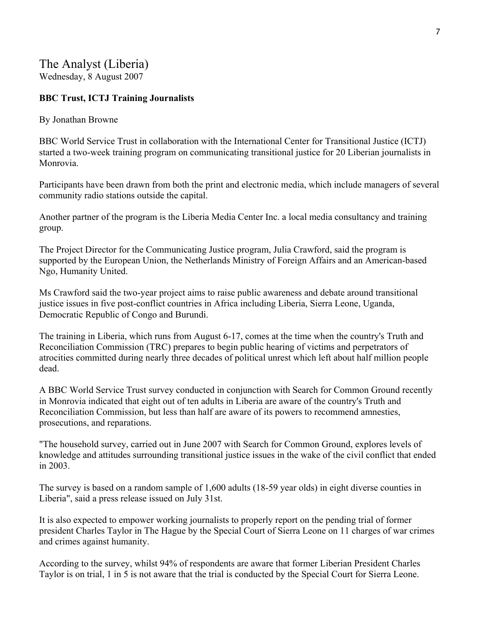# The Analyst (Liberia) Wednesday, 8 August 2007

# **BBC Trust, ICTJ Training Journalists**

By Jonathan Browne

BBC World Service Trust in collaboration with the International Center for Transitional Justice (ICTJ) started a two-week training program on communicating transitional justice for 20 Liberian journalists in Monrovia.

Participants have been drawn from both the print and electronic media, which include managers of several community radio stations outside the capital.

Another partner of the program is the Liberia Media Center Inc. a local media consultancy and training group.

The Project Director for the Communicating Justice program, Julia Crawford, said the program is supported by the European Union, the Netherlands Ministry of Foreign Affairs and an American-based Ngo, Humanity United.

Ms Crawford said the two-year project aims to raise public awareness and debate around transitional justice issues in five post-conflict countries in Africa including Liberia, Sierra Leone, Uganda, Democratic Republic of Congo and Burundi.

The training in Liberia, which runs from August 6-17, comes at the time when the country's Truth and Reconciliation Commission (TRC) prepares to begin public hearing of victims and perpetrators of atrocities committed during nearly three decades of political unrest which left about half million people dead.

A BBC World Service Trust survey conducted in conjunction with Search for Common Ground recently in Monrovia indicated that eight out of ten adults in Liberia are aware of the country's Truth and Reconciliation Commission, but less than half are aware of its powers to recommend amnesties, prosecutions, and reparations.

"The household survey, carried out in June 2007 with Search for Common Ground, explores levels of knowledge and attitudes surrounding transitional justice issues in the wake of the civil conflict that ended in 2003.

The survey is based on a random sample of 1,600 adults (18-59 year olds) in eight diverse counties in Liberia", said a press release issued on July 31st.

It is also expected to empower working journalists to properly report on the pending trial of former president Charles Taylor in The Hague by the Special Court of Sierra Leone on 11 charges of war crimes and crimes against humanity.

According to the survey, whilst 94% of respondents are aware that former Liberian President Charles Taylor is on trial, 1 in 5 is not aware that the trial is conducted by the Special Court for Sierra Leone.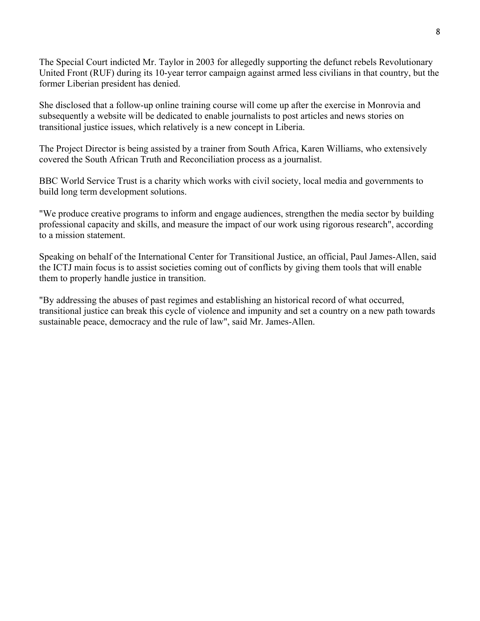The Special Court indicted Mr. Taylor in 2003 for allegedly supporting the defunct rebels Revolutionary United Front (RUF) during its 10-year terror campaign against armed less civilians in that country, but the former Liberian president has denied.

She disclosed that a follow-up online training course will come up after the exercise in Monrovia and subsequently a website will be dedicated to enable journalists to post articles and news stories on transitional justice issues, which relatively is a new concept in Liberia.

The Project Director is being assisted by a trainer from South Africa, Karen Williams, who extensively covered the South African Truth and Reconciliation process as a journalist.

BBC World Service Trust is a charity which works with civil society, local media and governments to build long term development solutions.

"We produce creative programs to inform and engage audiences, strengthen the media sector by building professional capacity and skills, and measure the impact of our work using rigorous research", according to a mission statement.

Speaking on behalf of the International Center for Transitional Justice, an official, Paul James-Allen, said the ICTJ main focus is to assist societies coming out of conflicts by giving them tools that will enable them to properly handle justice in transition.

"By addressing the abuses of past regimes and establishing an historical record of what occurred, transitional justice can break this cycle of violence and impunity and set a country on a new path towards sustainable peace, democracy and the rule of law", said Mr. James-Allen.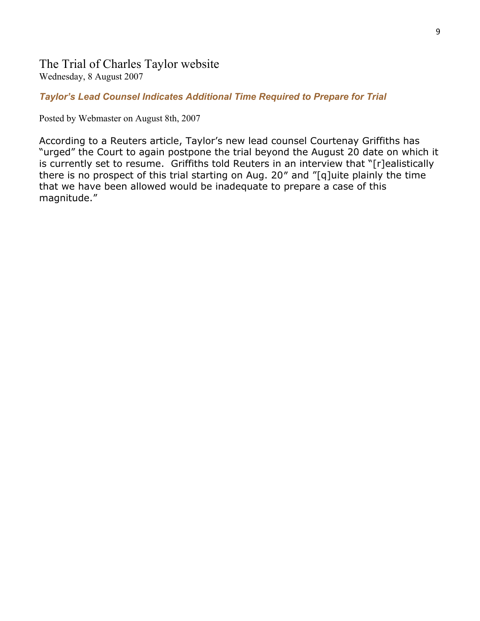# The Trial of Charles Taylor website Wednesday, 8 August 2007

# *Taylor's Lead Counsel Indicates Additional Time Required to Prepare for Trial*

Posted by Webmaster on August 8th, 2007

According to a Reuters article, Taylor's new lead counsel Courtenay Griffiths has "urged" the Court to again postpone the trial beyond the August 20 date on which it is currently set to resume. Griffiths told Reuters in an interview that "[r]ealistically there is no prospect of this trial starting on Aug. 20″ and "[q]uite plainly the time that we have been allowed would be inadequate to prepare a case of this magnitude."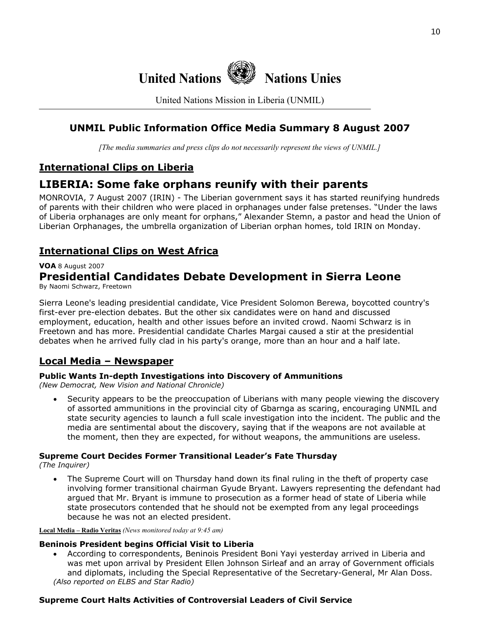

United Nations Mission in Liberia (UNMIL)

# **UNMIL Public Information Office Media Summary 8 August 2007**

*[The media summaries and press clips do not necessarily represent the views of UNMIL.]*

# **International Clips on Liberia**

# **LIBERIA: Some fake orphans reunify with their parents**

MONROVIA, 7 August 2007 (IRIN) - The Liberian government says it has started reunifying hundreds of parents with their children who were placed in orphanages under false pretenses. "Under the laws of Liberia orphanages are only meant for orphans," Alexander Stemn, a pastor and head the Union of Liberian Orphanages, the umbrella organization of Liberian orphan homes, told IRIN on Monday.

# **International Clips on West Africa**

#### **VOA** 8 August 2007

# **Presidential Candidates Debate Development in Sierra Leone**

By Naomi Schwarz, Freetown

Sierra Leone's leading presidential candidate, Vice President Solomon Berewa, boycotted country's first-ever pre-election debates. But the other six candidates were on hand and discussed employment, education, health and other issues before an invited crowd. Naomi Schwarz is in Freetown and has more. Presidential candidate Charles Margai caused a stir at the presidential debates when he arrived fully clad in his party's orange, more than an hour and a half late.

# **Local Media – Newspaper**

# **Public Wants In-depth Investigations into Discovery of Ammunitions**

*(New Democrat, New Vision and National Chronicle)* 

• Security appears to be the preoccupation of Liberians with many people viewing the discovery of assorted ammunitions in the provincial city of Gbarnga as scaring, encouraging UNMIL and state security agencies to launch a full scale investigation into the incident. The public and the media are sentimental about the discovery, saying that if the weapons are not available at the moment, then they are expected, for without weapons, the ammunitions are useless.

# **Supreme Court Decides Former Transitional Leader's Fate Thursday**

*(The Inquirer)* 

• The Supreme Court will on Thursday hand down its final ruling in the theft of property case involving former transitional chairman Gyude Bryant. Lawyers representing the defendant had argued that Mr. Bryant is immune to prosecution as a former head of state of Liberia while state prosecutors contended that he should not be exempted from any legal proceedings because he was not an elected president.

**Local Media – Radio Veritas** *(News monitored today at 9:45 am)*

# **Beninois President begins Official Visit to Liberia**

• According to correspondents, Beninois President Boni Yayi yesterday arrived in Liberia and was met upon arrival by President Ellen Johnson Sirleaf and an array of Government officials and diplomats, including the Special Representative of the Secretary-General, Mr Alan Doss. *(Also reported on ELBS and Star Radio)*

# **Supreme Court Halts Activities of Controversial Leaders of Civil Service**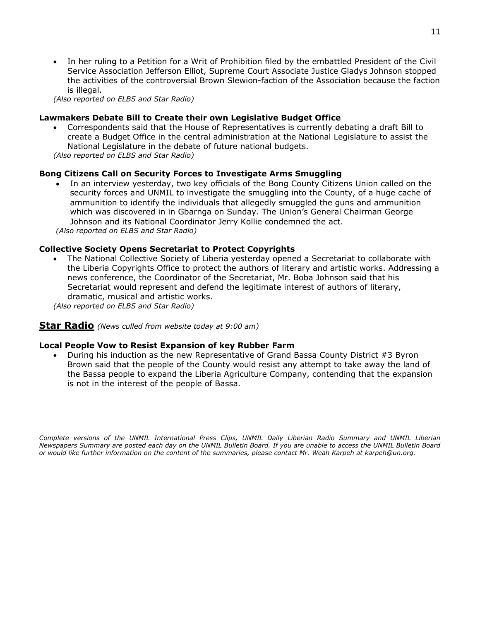• In her ruling to a Petition for a Writ of Prohibition filed by the embattled President of the Civil Service Association Jefferson Elliot, Supreme Court Associate Justice Gladys Johnson stopped the activities of the controversial Brown Slewion-faction of the Association because the faction is illegal.

*(Also reported on ELBS and Star Radio)*

#### **Lawmakers Debate Bill to Create their own Legislative Budget Office**

• Correspondents said that the House of Representatives is currently debating a draft Bill to create a Budget Office in the central administration at the National Legislature to assist the National Legislature in the debate of future national budgets.

*(Also reported on ELBS and Star Radio)*

#### **Bong Citizens Call on Security Forces to Investigate Arms Smuggling**

• In an interview yesterday, two key officials of the Bong County Citizens Union called on the security forces and UNMIL to investigate the smuggling into the County, of a huge cache of ammunition to identify the individuals that allegedly smuggled the guns and ammunition which was discovered in in Gbarnga on Sunday. The Union's General Chairman George Johnson and its National Coordinator Jerry Kollie condemned the act. *(Also reported on ELBS and Star Radio)*

#### **Collective Society Opens Secretariat to Protect Copyrights**

• The National Collective Society of Liberia yesterday opened a Secretariat to collaborate with the Liberia Copyrights Office to protect the authors of literary and artistic works. Addressing a news conference, the Coordinator of the Secretariat, Mr. Boba Johnson said that his Secretariat would represent and defend the legitimate interest of authors of literary, dramatic, musical and artistic works.

*(Also reported on ELBS and Star Radio)*

# **Star Radio** *(News culled from website today at 9:00 am)*

#### **Local People Vow to Resist Expansion of key Rubber Farm**

• During his induction as the new Representative of Grand Bassa County District #3 Byron Brown said that the people of the County would resist any attempt to take away the land of the Bassa people to expand the Liberia Agriculture Company, contending that the expansion is not in the interest of the people of Bassa.

*Complete versions of the UNMIL International Press Clips, UNMIL Daily Liberian Radio Summary and UNMIL Liberian Newspapers Summary are posted each day on the UNMIL Bulletin Board. If you are unable to access the UNMIL Bulletin Board or would like further information on the content of the summaries, please contact Mr. Weah Karpeh at karpeh@un.org.*